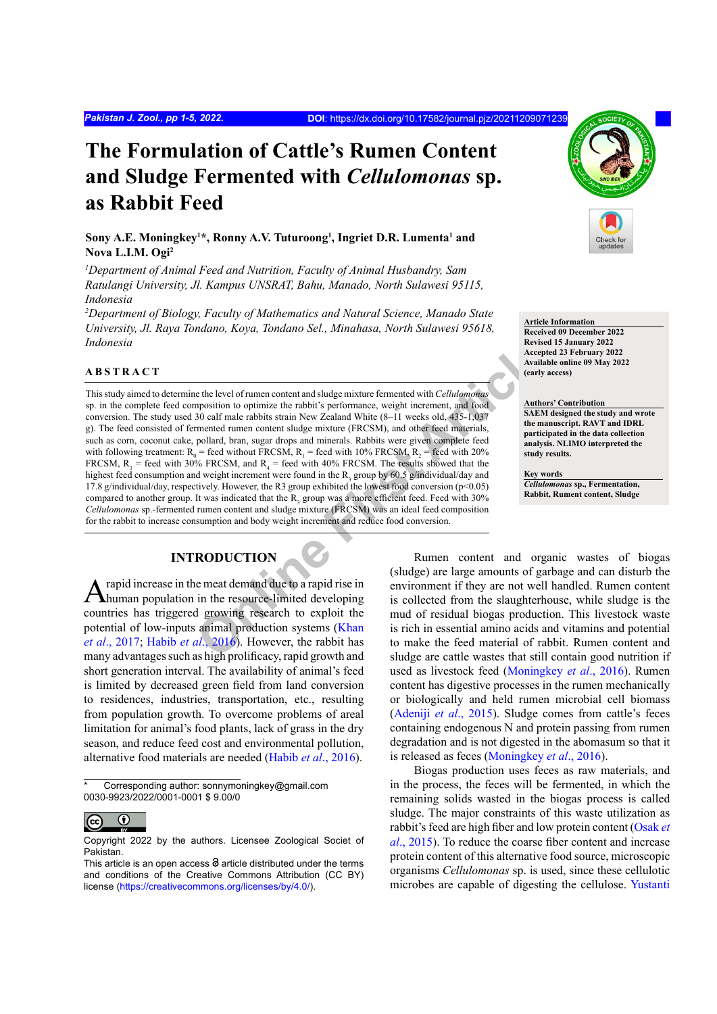# **The Formulation of Cattle's Rumen Content and Sludge Fermented with** *Cellulomonas* **sp. as Rabbit Feed**

 $\boldsymbol{\mathrm{Sony}}$  A.E. Moningkey<sup>1\*</sup>, Ronny A.V. Tuturoong<sup>1</sup>, Ingriet D.R. Lumenta<sup>1</sup> and **Nova L.I.M. Ogi2**

*1 Department of Animal Feed and Nutrition, Faculty of Animal Husbandry, Sam Ratulangi University, Jl. Kampus UNSRAT, Bahu, Manado, North Sulawesi 95115, Indonesia*

*2 Department of Biology, Faculty of Mathematics and Natural Science, Manado State University, Jl. Raya Tondano, Koya, Tondano Sel., Minahasa, North Sulawesi 95618, Indonesia*

## **ABSTRACT**

Exertigation to optimize the level of runnen content and sludge mixture fermented with *Cellulomonas*<br> [O](#page-4-1)rder male rabbit's performance, weight increment, and food<br>
20 calf male rabbits strain New Zealand White (8–11 weeks This study aimed to determine the level of rumen content and sludge mixture fermented with *Cellulomonas*  sp. in the complete feed composition to optimize the rabbit's performance, weight increment, and food conversion. The study used 30 calf male rabbits strain New Zealand White (8–11 weeks old, 435-1,037 g). The feed consisted of fermented rumen content sludge mixture (FRCSM), and other feed materials, such as corn, coconut cake, pollard, bran, sugar drops and minerals. Rabbits were given complete feed with following treatment:  $R_0$  = feed without FRCSM,  $R_1$  = feed with 10% FRCSM,  $R_2$  = feed with 20% FRCSM,  $R_3$  = feed with 30% FRCSM, and  $R_4$  = feed with 40% FRCSM. The results showed that the highest feed consumption and weight increment were found in the  $R_3$  group by 60.5 g/individual/day and 17.8 g/individual/day, respectively. However, the R3 group exhibited the lowest food conversion (p<0.05) compared to another group. It was indicated that the  $R_3$  group was a more efficient feed. Feed with 30% *Cellulomonas* sp.-fermented rumen content and sludge mixture (FRCSM) was an ideal feed composition for the rabbit to increase consumption and body weight increment and reduce food conversion.

#### **INTRODUCTION**

A rapid increase in the meat demand due to a rapid rise in human population in the resource-limited developing countries has triggered growing research to exploit the potential of low-inputs animal production systems (Khan *et al*[., 2017](#page-4-0); Habib *et al*., 2016). However, the rabbit has many advantages such as high prolificacy, rapid growth and short generation interval. The availability of animal's feed is limited by decreased green field from land conversion to residences, industries, transportation, etc., resulting from population growth. To overcome problems of areal limitation for animal's food plants, lack of grass in the dry season, and reduce feed cost and environmental pollution, alternative food materials are needed (Habib *et al*[., 2016](#page-4-1)).

Corresponding author: sonnymoningkey@gmail.com 0030-9923/2022/0001-0001 \$ 9.00/0



Copyright 2022 by the authors. Licensee Zoological Societ of Pakistan.



**Article Information Received 09 December 2022 Revised 15 January 2022 Accepted 23 February 2022 Available online 09 May 2022 (early access)**

#### **Authors' Contribution**

**SAEM designed the study and wrote the manuscript. RAVT and IDRL participated in the data collection analysis. NLIMO interpreted the study results.** 

**Key words** *Cellulomonas* **sp., Fermentation, Rabbit, Rument content, Sludge**

Rumen content and organic wastes of biogas (sludge) are large amounts of garbage and can disturb the environment if they are not well handled. Rumen content is collected from the slaughterhouse, while sludge is the mud of residual biogas production. This livestock waste is rich in essential amino acids and vitamins and potential to make the feed material of rabbit. Rumen content and sludge are cattle wastes that still contain good nutrition if used as livestock feed [\(Moningkey](#page-4-2) *et al*., 2016). Rumen content has digestive processes in the rumen mechanically or biologically and held rumen microbial cell biomass [\(Adeniji](#page-3-0) *et al*., 2015). Sludge comes from cattle's feces containing endogenous N and protein passing from rumen degradation and is not digested in the abomasum so that it is released as feces ([Moningkey](#page-4-2) *et al*., 2016).

Biogas production uses feces as raw materials, and in the process, the feces will be fermented, in which the remaining solids wasted in the biogas process is called sludge. The major constraints of this waste utilization as rabbit's feed are high fiber and low protein content ([Osak](#page-4-3) *et al*[., 2015](#page-4-3)). To reduce the coarse fiber content and increase protein content of this alternative food source, microscopic organisms *Cellulomonas* sp. is used, since these cellulotic microbes are capable of digesting the cellulose. [Yustanti](#page-4-4)

This article is an open access  $\Theta$  article distributed under the terms and conditions of the Creative Commons Attribution (CC BY) license (https://creativecommons.org/licenses/by/4.0/).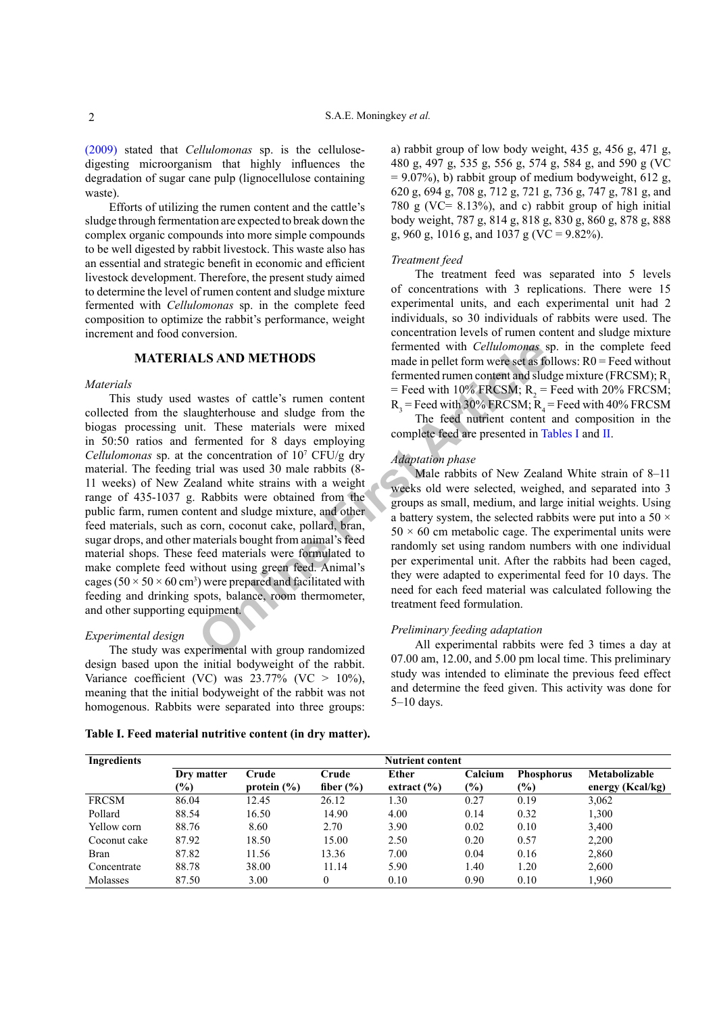[\(2009\)](#page-4-4) stated that *Cellulomonas* sp. is the cellulosedigesting microorganism that highly influences the degradation of sugar cane pulp (lignocellulose containing waste).

Efforts of utilizing the rumen content and the cattle's sludge through fermentation are expected to break down the complex organic compounds into more simple compounds to be well digested by rabbit livestock. This waste also has an essential and strategic benefit in economic and efficient livestock development. Therefore, the present study aimed to determine the level of rumen content and sludge mixture fermented with *Cellulomonas* sp. in the complete feed composition to optimize the rabbit's performance, weight increment and food conversion.

## **MATERIALS AND METHODS**

#### *Materials*

**LS AND METHODS**<br>
Ernented with Cellulomonas s<br>
made in pellet form were set as fo<br>
wastes of cattle's rumen content and sludge<br>
it. These materials were mixed<br>
it. These materials were mixed<br>
it. These materials were mix This study used wastes of cattle's rumen content collected from the slaughterhouse and sludge from the biogas processing unit. These materials were mixed in 50:50 ratios and fermented for 8 days employing *Cellulomonas* sp. at the concentration of 107 CFU/g dry material. The feeding trial was used 30 male rabbits (8- 11 weeks) of New Zealand white strains with a weight range of 435-1037 g. Rabbits were obtained from the public farm, rumen content and sludge mixture, and other feed materials, such as corn, coconut cake, pollard, bran, sugar drops, and other materials bought from animal's feed material shops. These feed materials were formulated to make complete feed without using green feed. Animal's cages ( $50 \times 50 \times 60$  cm<sup>3</sup>) were prepared and facilitated with feeding and drinking spots, balance, room thermometer, and other supporting equipment.

#### *Experimental design*

The study was experimental with group randomized design based upon the initial bodyweight of the rabbit. Variance coefficient (VC) was  $23.77\%$  (VC  $> 10\%$ ), meaning that the initial bodyweight of the rabbit was not homogenous. Rabbits were separated into three groups:

<span id="page-1-0"></span>**Table I. Feed material nutritive content (in dry matter).**

a) rabbit group of low body weight, 435 g, 456 g, 471 g, 480 g, 497 g, 535 g, 556 g, 574 g, 584 g, and 590 g (VC  $= 9.07\%$ ), b) rabbit group of medium bodyweight, 612 g, 620 g, 694 g, 708 g, 712 g, 721 g, 736 g, 747 g, 781 g, and 780 g (VC=  $8.13\%$ ), and c) rabbit group of high initial body weight, 787 g, 814 g, 818 g, 830 g, 860 g, 878 g, 888 g, 960 g, 1016 g, and 1037 g (VC = 9.82%).

#### *Treatment feed*

The treatment feed was separated into 5 levels of concentrations with 3 replications. There were 15 experimental units, and each experimental unit had 2 individuals, so 30 individuals of rabbits were used. The concentration levels of rumen content and sludge mixture fermented with *Cellulomonas* sp. in the complete feed made in pellet form were set as follows: R0 = Feed without fermented rumen content and sludge mixture (FRCSM); R. = Feed with 10% FRCSM;  $R_2$  = Feed with 20% FRCSM;  $R_3$  = Feed with 30% FRCSM;  $R_4$  = Feed with 40% FRCSM

The feed nutrient content and composition in the complete feed are presented in [Tables I](#page-1-0) and [II](#page-2-0).

#### *Adaptation phase*

Male rabbits of New Zealand White strain of 8–11 weeks old were selected, weighed, and separated into 3 groups as small, medium, and large initial weights. Using a battery system, the selected rabbits were put into a 50  $\times$  $50 \times 60$  cm metabolic cage. The experimental units were randomly set using random numbers with one individual per experimental unit. After the rabbits had been caged, they were adapted to experimental feed for 10 days. The need for each feed material was calculated following the treatment feed formulation.

#### *Preliminary feeding adaptation*

All experimental rabbits were fed 3 times a day at 07.00 am, 12.00, and 5.00 pm local time. This preliminary study was intended to eliminate the previous feed effect and determine the feed given. This activity was done for 5–10 days.

| Ingredients  |               | <b>Nutrient content</b> |               |                 |         |                   |                  |
|--------------|---------------|-------------------------|---------------|-----------------|---------|-------------------|------------------|
|              | Dry matter    | Crude                   | Crude         | Ether           | Calcium | <b>Phosphorus</b> | Metabolizable    |
|              | $\frac{1}{2}$ | protein $(\% )$         | fiber $(\% )$ | extract $(\% )$ | $(\%)$  | $(\%)$            | energy (Kcal/kg) |
| <b>FRCSM</b> | 86.04         | 12.45                   | 26.12         | 1.30            | 0.27    | 0.19              | 3,062            |
| Pollard      | 88.54         | 16.50                   | 14.90         | 4.00            | 0.14    | 0.32              | 1,300            |
| Yellow corn  | 88.76         | 8.60                    | 2.70          | 3.90            | 0.02    | 0.10              | 3,400            |
| Coconut cake | 87.92         | 18.50                   | 15.00         | 2.50            | 0.20    | 0.57              | 2,200            |
| <b>Bran</b>  | 87.82         | 11.56                   | 13.36         | 7.00            | 0.04    | 0.16              | 2,860            |
| Concentrate  | 88.78         | 38.00                   | 11.14         | 5.90            | 1.40    | 1.20              | 2,600            |
| Molasses     | 87.50         | 3.00                    | $\theta$      | 0.10            | 0.90    | 0.10              | 1,960            |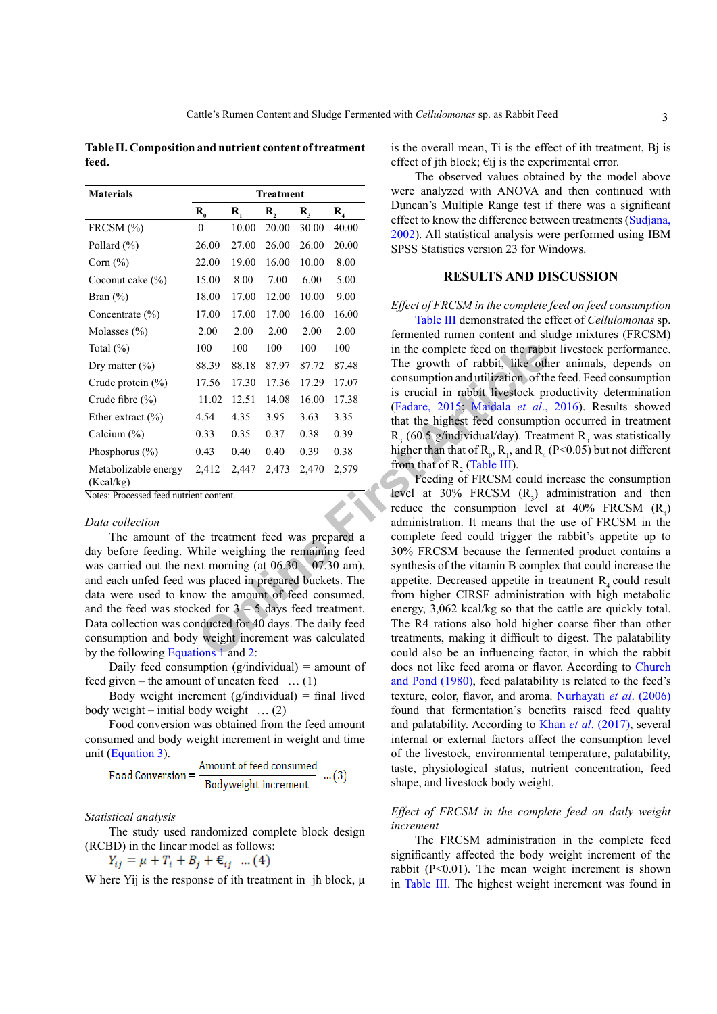<span id="page-2-0"></span>**Table II. Composition and nutrient content of treatment feed.**

| <b>Materials</b><br><b>Treatment</b> |                     |                  |       |         |                   |
|--------------------------------------|---------------------|------------------|-------|---------|-------------------|
|                                      | $\mathbf{R}_{_{0}}$ | $\mathbf{R}_{i}$ | R,    | $R_{3}$ | $\mathbf{R}_{_4}$ |
| FRCSM (%)                            | $\theta$            | 10.00            | 20.00 | 30.00   | 40.00             |
| Pollard (%)                          | 26.00               | 27.00            | 26.00 | 26.00   | 20.00             |
| Corn $(\% )$                         | 22.00               | 19.00            | 16.00 | 10.00   | 8.00              |
| Coconut cake $(\% )$                 | 15.00               | 8.00             | 7.00  | 6.00    | 5.00              |
| Bran $(\% )$                         | 18.00               | 17.00            | 12.00 | 10.00   | 9.00              |
| Concentrate $(\% )$                  | 17.00               | 17.00            | 17.00 | 16.00   | 16.00             |
| Molasses $(\% )$                     | 2.00                | 2.00             | 2.00  | 2.00    | 2.00              |
| Total $(\% )$                        | 100                 | 100              | 100   | 100     | 100               |
| Dry matter $(\% )$                   | 88.39               | 88.18            | 87.97 | 87.72   | 87.48             |
| Crude protein $(\%)$                 | 17.56               | 17.30            | 17.36 | 17.29   | 17.07             |
| Crude fibre $(\% )$                  | 11.02               | 12.51            | 14.08 | 16.00   | 17.38             |
| Ether extract $(\% )$                | 4.54                | 4.35             | 3.95  | 3.63    | 3.35              |
| Calcium $(\% )$                      | 0.33                | 0.35             | 0.37  | 0.38    | 0.39              |
| Phosphorus $(\% )$                   | 0.43                | 0.40             | 0.40  | 0.39    | 0.38              |
| Metabolizable energy<br>(Kcal/kg)    | 2,412               | 2,447            | 2,473 | 2,470   | 2,579             |

Notes: Processed feed nutrient content.

#### *Data collection*

The amount of the treatment feed was prepared a day before feeding. While weighing the remaining feed was carried out the next morning (at  $06.30 - 07.30$  am), and each unfed feed was placed in prepared buckets. The data were used to know the amount of feed consumed, and the feed was stocked for  $3 - 5$  days feed treatment. Data collection was conducted for 40 days. The daily feed consumption and body weight increment was calculated by the following [Equations 1](#page-2-1) and 2:

<span id="page-2-1"></span>Daily feed consumption (g/individual) = amount of feed given – the amount of uneaten feed  $\dots$  (1)

<span id="page-2-2"></span>Body weight increment  $(g/individual)$  = final lived body weight – initial body weight  $\ldots$  (2)

Food conversion was obtained from the feed amount consumed and body weight increment in weight and time unit [\(Equation 3\)](#page-2-3).

<span id="page-2-3"></span>Food Conversion = 
$$
\frac{\text{Amount of feed consumed}}{\text{Bodyweight increment}}
$$
 ...(3)

## *Statistical analysis*

The study used randomized complete block design (RCBD) in the linear model as follows:

$$
Y_{ij} = \mu + T_i + B_j + \epsilon_{ij} \dots (4)
$$

W here Yij is the response of ith treatment in jh block, μ

is the overall mean, Ti is the effect of ith treatment, Bj is effect of jth block;  $\epsilon$ ij is the experimental error.

The observed values obtained by the model above were analyzed with ANOVA and then continued with Duncan's Multiple Range test if there was a significant effect to know the difference between treatments [\(Sudjana,](#page-4-5) [2002\)](#page-4-5). All statistical analysis were performed using IBM SPSS Statistics version 23 for Windows.

## **RESULTS AND DISCUSSION**

#### *Effect of FRCSM in the complete feed on feed consumption*

[Table III](#page-3-1) demonstrated the effect of *Cellulomonas* sp. fermented rumen content and sludge mixtures (FRCSM) in the complete feed on the rabbit livestock performance. The growth of rabbit, like other animals, depends on consumption and utilization of the feed. Feed consumption is crucial in rabbit livestock productivity determination (Fadare, 2015; Maidala *et al*., 2016). Results showed that the highest feed consumption occurred in treatment  $R_3$  (60.5 g/individual/day). Treatment  $R_3$  was statistically higher than that of  $R_0$ ,  $R_1$ , and  $R_4$  (P<0.05) but not different from that of  $R_2$  (Table III).

100 100 100 100 100 100 100 in the complete feed on the rabbits and 17.56 17.30 17.36 17.29 17.07 consumption and utilization of the 11.02 12.51 14.08 16.00 17.38 is crucial in rabbit livestock pro-<br> **Cadame, 2015:** Marda Feeding of FRCSM could increase the consumption level at 30% FRCSM  $(R_3)$  administration and then reduce the consumption level at  $40\%$  FRCSM  $(R_4)$ administration. It means that the use of FRCSM in the complete feed could trigger the rabbit's appetite up to 30% FRCSM because the fermented product contains a synthesis of the vitamin B complex that could increase the appetite. Decreased appetite in treatment  $R<sub>4</sub>$  could result from higher CIRSF administration with high metabolic energy, 3,062 kcal/kg so that the cattle are quickly total. The R4 rations also hold higher coarse fiber than other treatments, making it difficult to digest. The palatability could also be an influencing factor, in which the rabbit does not like feed aroma or flavor. According to [Church](#page-4-8) [and Pond \(1980\),](#page-4-8) feed palatability is related to the feed's texture, color, flavor, and aroma. [Nurhayati](#page-4-9) *et al*. (2006) found that fermentation's benefits raised feed quality and palatability. According to Khan *et al*[. \(2017\)](#page-4-0), several internal or external factors affect the consumption level of the livestock, environmental temperature, palatability, taste, physiological status, nutrient concentration, feed shape, and livestock body weight.

## *Effect of FRCSM in the complete feed on daily weight increment*

The FRCSM administration in the complete feed significantly affected the body weight increment of the rabbit (P<0.01). The mean weight increment is shown in [Table III.](#page-3-1) The highest weight increment was found in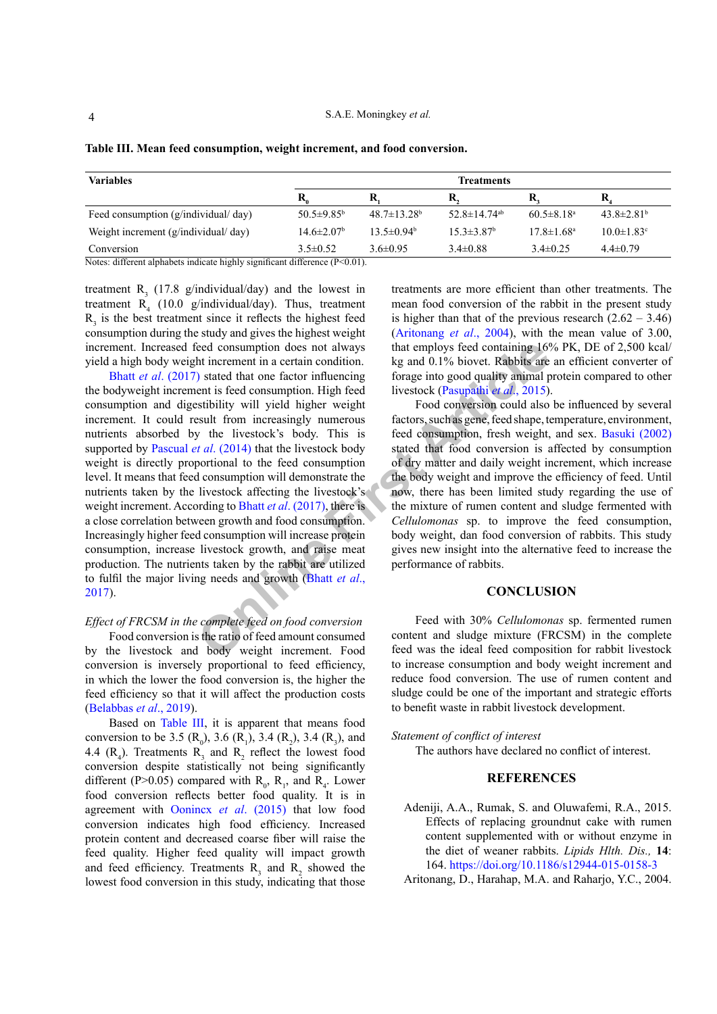4

| <b>Variables</b>                    | <b>Treatments</b>            |                               |                                |                              |                              |  |
|-------------------------------------|------------------------------|-------------------------------|--------------------------------|------------------------------|------------------------------|--|
|                                     |                              | R                             | K,                             | R                            | R.                           |  |
| Feed consumption (g/individual/day) | 50.5 $\pm$ 9.85 <sup>b</sup> | $48.7 \pm 13.28$ <sup>b</sup> | 52.8 $\pm$ 14.74 <sup>ab</sup> | $60.5 \pm 8.18$ <sup>a</sup> | $43.8 \pm 2.81$ <sup>b</sup> |  |
| Weight increment (g/individual/day) | $14.6 \pm 2.07$ <sup>b</sup> | $13.5 \pm 0.94^{\circ}$       | $15.3 \pm 3.87^{\rm b}$        | $17.8 \pm 1.68$ <sup>a</sup> | $10.0 \pm 1.83$ <sup>c</sup> |  |
| Conversion                          | $3.5\pm 0.52$                | $3.6\pm0.95$                  | $3.4\pm0.88$                   | $3.4\pm 0.25$                | $4.4 \pm 0.79$               |  |

<span id="page-3-1"></span>**Table III. Mean feed consumption, weight increment, and food conversion.**

Notes: different alphabets indicate highly significant difference (P<0.01).

treatment  $R_3$  (17.8 g/individual/day) and the lowest in treatment  $R_4$  (10.0 g/individual/day). Thus, treatment  $R<sub>3</sub>$  is the best treatment since it reflects the highest feed consumption during the study and gives the highest weight increment. Increased feed consumption does not always yield a high body weight increment in a certain condition.

by that employs feed consumption does not always<br>
that employs feed containing 16%<br>
by stated that o[ne](#page-4-10) factor influencing<br>
or ade that is foreage into good quality animal product is feed consumption. High feed livestock (P Bhatt *et al*[. \(2017\)](#page-4-10) stated that one factor influencing the bodyweight increment is feed consumption. High feed consumption and digestibility will yield higher weight increment. It could result from increasingly numerous nutrients absorbed by the livestock's body. This is supported by Pascual *et al*. (2014) that the livestock body weight is directly proportional to the feed consumption level. It means that feed consumption will demonstrate the nutrients taken by the livestock affecting the livestock's weight increment. According to Bhatt *et al*. (2017), there is a close correlation between growth and food consumption. Increasingly higher feed consumption will increase protein consumption, increase livestock growth, and raise meat production. The nutrients taken by the rabbit are utilized to fulfil the major living needs and growth (Bhatt *et al*., [2017\)](#page-4-10).

# *Effect of FRCSM in the complete feed on food conversion*

Food conversion is the ratio of feed amount consumed by the livestock and body weight increment. Food conversion is inversely proportional to feed efficiency, in which the lower the food conversion is, the higher the feed efficiency so that it will affect the production costs (Belabbas *et al*., 2019).

Based on [Table III,](#page-3-1) it is apparent that means food conversion to be 3.5 ( $R_0$ ), 3.6 ( $R_1$ ), 3.4 ( $R_2$ ), 3.4 ( $R_3$ ), and 4.4  $(R_4)$ . Treatments  $R_3$  and  $R_2$  reflect the lowest food conversion despite statistically not being significantly different (P>0.05) compared with  $R_0$ ,  $R_1$ , and  $R_4$ . Lower food conversion reflects better food quality. It is in agreement with [Oonincx](#page-4-12) *et al*. (2015) that low food conversion indicates high food efficiency. Increased protein content and decreased coarse fiber will raise the feed quality. Higher feed quality will impact growth and feed efficiency. Treatments  $R_3$  and  $R_2$  showed the lowest food conversion in this study, indicating that those

treatments are more efficient than other treatments. The mean food conversion of the rabbit in the present study is higher than that of the previous research  $(2.62 - 3.46)$ [\(Aritonang](#page-3-2) *et al*., 2004), with the mean value of 3.00, that employs feed containing 16% PK, DE of 2,500 kcal/ kg and 0.1% biovet. Rabbits are an efficient converter of forage into good quality animal protein compared to other livestock (Pasupathi *et al*., 2015).

Food conversion could also be influenced by several factors, such as gene, feed shape, temperature, environment, feed consumption, fresh weight, and sex. [Basuki \(2002\)](#page-4-14) stated that food conversion is affected by consumption of dry matter and daily weight increment, which increase the body weight and improve the efficiency of feed. Until now, there has been limited study regarding the use of the mixture of rumen content and sludge fermented with *Cellulomonas* sp. to improve the feed consumption, body weight, dan food conversion of rabbits. This study gives new insight into the alternative feed to increase the performance of rabbits.

## **CONCLUSION**

Feed with 30% *Cellulomonas* sp. fermented rumen content and sludge mixture (FRCSM) in the complete feed was the ideal feed composition for rabbit livestock to increase consumption and body weight increment and reduce food conversion. The use of rumen content and sludge could be one of the important and strategic efforts to benefit waste in rabbit livestock development.

#### *Statement of conflict of interest*

The authors have declared no conflict of interest.

## **REFERENCES**

<span id="page-3-0"></span>Adeniji, A.A., Rumak, S. and Oluwafemi, R.A., 2015. Effects of replacing groundnut cake with rumen content supplemented with or without enzyme in the diet of weaner rabbits. *Lipids Hlth. Dis.,* **14**: 164.<https://doi.org/10.1186/s12944-015-0158-3>

<span id="page-3-2"></span>Aritonang, D., Harahap, M.A. and Raharjo, Y.C., 2004.